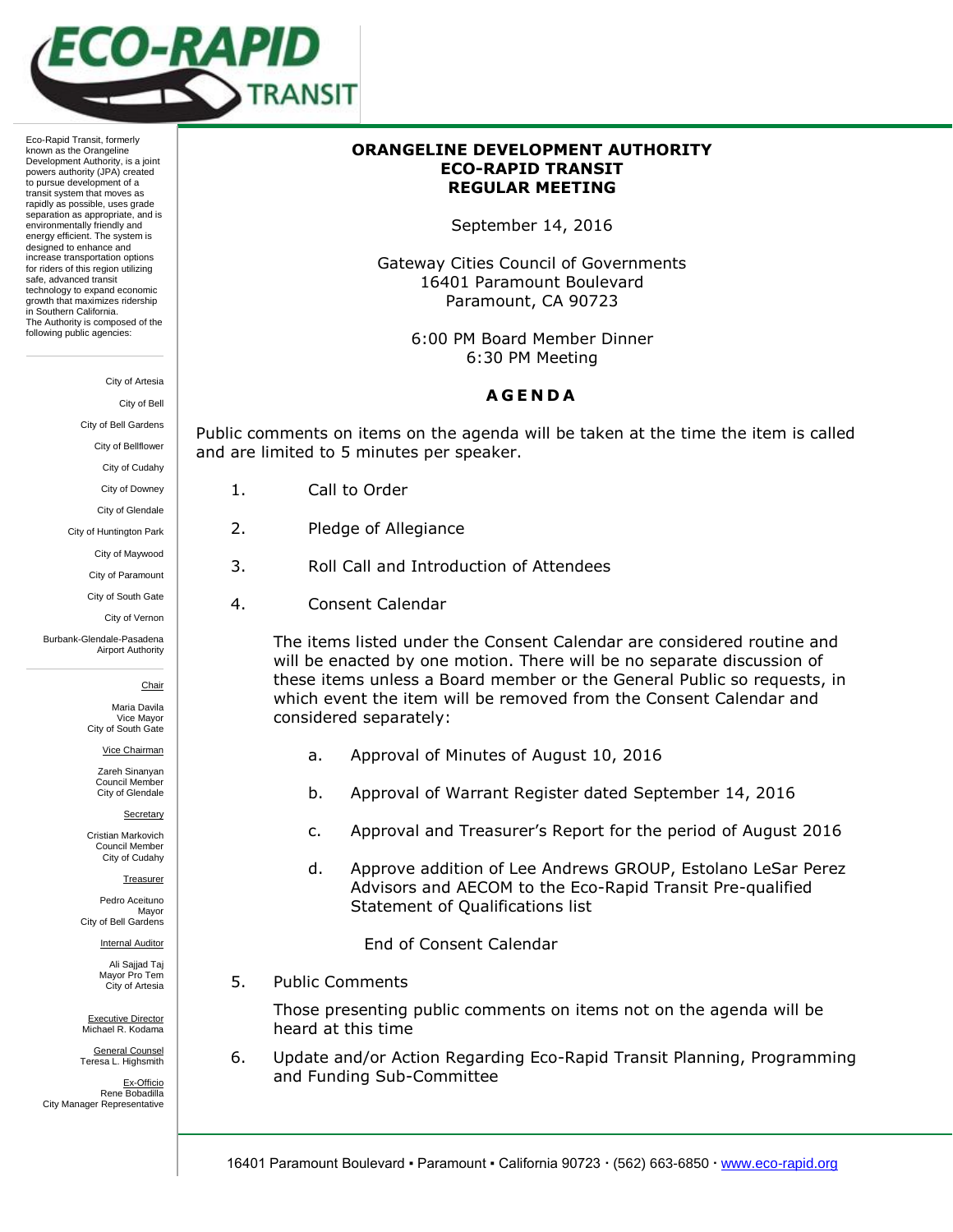

Eco-Rapid Transit, formerly known as the Orangeline Development Authority, is a joint powers authority (JPA) created to pursue development of a transit system that moves as rapidly as possible, uses grade separation as appropriate, and is environmentally friendly and energy efficient. The system is designed to enhance and increase transportation options for riders of this region utilizing safe, advanced transit technology to expand economic growth that maximizes ridership in Southern California. The Authority is composed of the following public agencies:

City of Artesia

City of Bell

City of Bell Gardens City of Bellflower

City of Cudahy

City of Downey City of Glendale

City of Huntington Park City of Maywood City of Paramount City of South Gate City of Vernon

Burbank-Glendale-Pasadena Airport Authority

- 
- 2. Pledge of Allegiance
- 3. Roll Call and Introduction of Attendees
- 4. Consent Calendar

The items listed under the Consent Calendar are considered routine and will be enacted by one motion. There will be no separate discussion of these items unless a Board member or the General Public so requests, in which event the item will be removed from the Consent Calendar and considered separately:

- a. Approval of Minutes of August 10, 2016
- b. Approval of Warrant Register dated September 14, 2016
- c. Approval and Treasurer's Report for the period of August 2016
- d. Approve addition of Lee Andrews GROUP, Estolano LeSar Perez Advisors and AECOM to the Eco-Rapid Transit Pre-qualified Statement of Qualifications list

End of Consent Calendar

5. Public Comments

Those presenting public comments on items not on the agenda will be heard at this time

6. Update and/or Action Regarding Eco-Rapid Transit Planning, Programming and Funding Sub-Committee

**ORANGELINE DEVELOPMENT AUTHORITY ECO-RAPID TRANSIT REGULAR MEETING**

September 14, 2016

Gateway Cities Council of Governments 16401 Paramount Boulevard Paramount, CA 90723

> 6:00 PM Board Member Dinner 6:30 PM Meeting

## **A G E N D A**

Public comments on items on the agenda will be taken at the time the item is called and are limited to 5 minutes per speaker.

- 1. Call to Order
- 
- 
- 

Maria Davila Vice Mayor City of South Gate

Vice Chairman

Chair

Zareh Sinanyan Council Member City of Glendale

**Secretary** 

Cristian Markovich Council Member City of Cudahy

Treasurer

Pedro Aceituno Mayor City of Bell Gardens

Internal Auditor

Ali Sajjad Taj Mayor Pro Tem City of Artesia

Executive Director Michael R. Kodama

General Counsel Teresa L. Highsmith

Ex-Officio Rene Bobadilla City Manager Representative